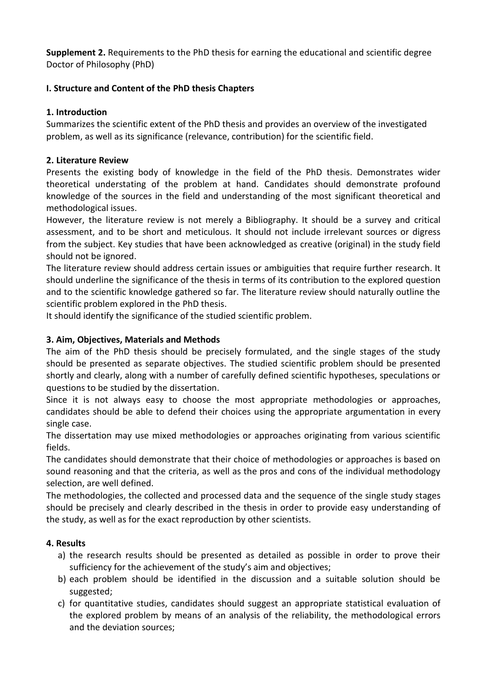**Supplement 2.** Requirements to the PhD thesis for earning the educational and scientific degree Doctor of Philosophy (PhD)

## **I. Structure and Content of the PhD thesis Chapters**

## **1. Introduction**

Summarizes the scientific extent of the PhD thesis and provides an overview of the investigated problem, as well as its significance (relevance, contribution) for the scientific field.

## **2. Literature Review**

Presents the existing body of knowledge in the field of the PhD thesis. Demonstrates wider theoretical understating of the problem at hand. Candidates should demonstrate profound knowledge of the sources in the field and understanding of the most significant theoretical and methodological issues.

However, the literature review is not merely a Bibliography. It should be a survey and critical assessment, and to be short and meticulous. It should not include irrelevant sources or digress from the subject. Key studies that have been acknowledged as creative (original) in the study field should not be ignored.

The literature review should address certain issues or ambiguities that require further research. It should underline the significance of the thesis in terms of its contribution to the explored question and to the scientific knowledge gathered so far. The literature review should naturally outline the scientific problem explored in the PhD thesis.

It should identify the significance of the studied scientific problem.

## **3. Aim, Objectives, Materials and Methods**

The aim of the PhD thesis should be precisely formulated, and the single stages of the study should be presented as separate objectives. The studied scientific problem should be presented shortly and clearly, along with a number of carefully defined scientific hypotheses, speculations or questions to be studied by the dissertation.

Since it is not always easy to choose the most appropriate methodologies or approaches, candidates should be able to defend their choices using the appropriate argumentation in every single case.

The dissertation may use mixed methodologies or approaches originating from various scientific fields.

The candidates should demonstrate that their choice of methodologies or approaches is based on sound reasoning and that the criteria, as well as the pros and cons of the individual methodology selection, are well defined.

The methodologies, the collected and processed data and the sequence of the single study stages should be precisely and clearly described in the thesis in order to provide easy understanding of the study, as well as for the exact reproduction by other scientists.

# **4. Results**

- a) the research results should be presented as detailed as possible in order to prove their sufficiency for the achievement of the study's aim and objectives;
- b) each problem should be identified in the discussion and a suitable solution should be suggested;
- c) for quantitative studies, candidates should suggest an appropriate statistical evaluation of the explored problem by means of an analysis of the reliability, the methodological errors and the deviation sources;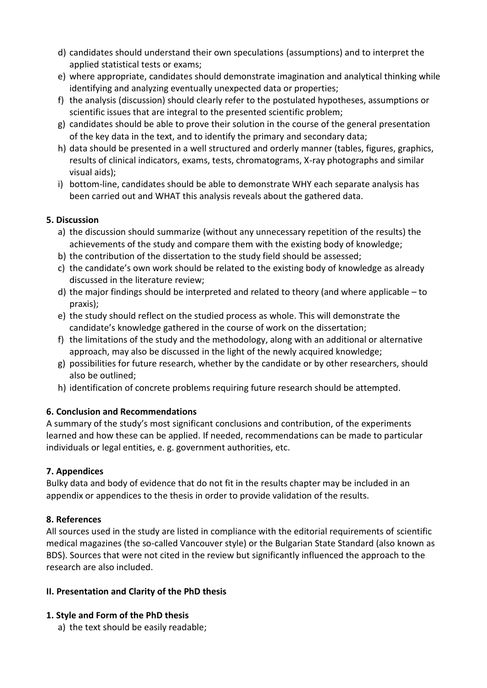- d) candidates should understand their own speculations (assumptions) and to interpret the applied statistical tests or exams;
- e) where appropriate, candidates should demonstrate imagination and analytical thinking while identifying and analyzing eventually unexpected data or properties;
- f) the analysis (discussion) should clearly refer to the postulated hypotheses, assumptions or scientific issues that are integral to the presented scientific problem;
- g) candidates should be able to prove their solution in the course of the general presentation of the key data in the text, and to identify the primary and secondary data;
- h) data should be presented in a well structured and orderly manner (tables, figures, graphics, results of clinical indicators, exams, tests, chromatograms, X-ray photographs and similar visual aids);
- i) bottom-line, candidates should be able to demonstrate WHY each separate analysis has been carried out and WHAT this analysis reveals about the gathered data.

## **5. Discussion**

- a) the discussion should summarize (without any unnecessary repetition of the results) the achievements of the study and compare them with the existing body of knowledge;
- b) the contribution of the dissertation to the study field should be assessed;
- c) the candidate's own work should be related to the existing body of knowledge as already discussed in the literature review;
- d) the major findings should be interpreted and related to theory (and where applicable to praxis);
- e) the study should reflect on the studied process as whole. This will demonstrate the candidate's knowledge gathered in the course of work on the dissertation;
- f) the limitations of the study and the methodology, along with an additional or alternative approach, may also be discussed in the light of the newly acquired knowledge;
- g) possibilities for future research, whether by the candidate or by other researchers, should also be outlined;
- h) identification of concrete problems requiring future research should be attempted.

# **6. Conclusion and Recommendations**

A summary of the study's most significant conclusions and contribution, of the experiments learned and how these can be applied. If needed, recommendations can be made to particular individuals or legal entities, e. g. government authorities, etc.

# **7. Appendices**

Bulky data and body of evidence that do not fit in the results chapter may be included in an appendix or appendices to the thesis in order to provide validation of the results.

### **8. References**

All sources used in the study are listed in compliance with the editorial requirements of scientific medical magazines (the so-called Vancouver style) or the Bulgarian State Standard (also known as BDS). Sources that were not cited in the review but significantly influenced the approach to the research are also included.

### **II. Presentation and Clarity of the PhD thesis**

# **1. Style and Form of the PhD thesis**

a) the text should be easily readable;